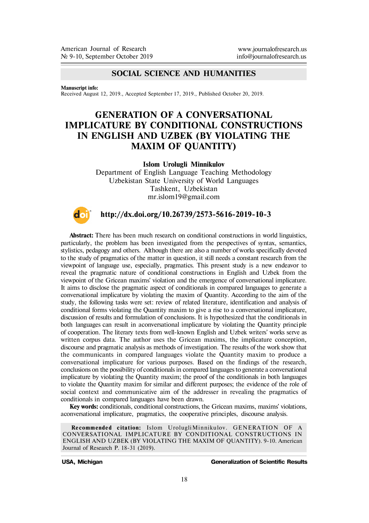# **SOCIAL SCIENCE AND HUMANITIES**

**Manuscript info:**

Received August 12, 2019., Accepted September 17, 2019., Published October 20, 2019.

# **GENERATION OF A CONVERSATIONAL IMPLICATURE BY CONDITIONAL CONSTRUCTIONS IN ENGLISH AND UZBEK (BY VIOLATING THE MAXIM OF QUANTITY)**

**Islom Urolugli Minnikulov**

Department of English Language Teaching Methodology Uzbekistan State University of World Languages Tashkent, Uzbekistan mr.islom19@gmail.com



## **http://dx.doi.org/10.26739/2573-5616-2019-10-3**

**Abstract:** There has been much research on conditional constructions in world linguistics, particularly, the problem has been investigated from the perspectives of syntax, semantics, stylistics, pedagogy and others. Although there are also a number of works specifically devoted to the study of pragmatics of the matter in question, it still needs a constant research from the viewpoint of language use, especially, pragmatics. This present study is a new endeavor to reveal the pragmatic nature of conditional constructions in English and Uzbek from the viewpoint of the Gricean maxims' violation and the emergence of conversational implicature. It aims to disclose the pragmatic aspect of conditionals in compared languages to generate a conversational implicature by violating the maxim of Quantity. According to the aim of the study, the following tasks were set: review of related literature, identification and analysis of conditional forms violating the Quantity maxim to give a rise to a conversational implicature, discussion of results and formulation of conclusions. It is hypothesized that the conditionals in both languages can result in a conversational implicature by violating the Quantity principle of cooperation. The literary texts from well-known English and Uzbek writers' works serve as written corpus data. The author uses the Gricean maxims, the implicature conception, discourse and pragmatic analysis as methods of investigation. The results of the work show that the communicants in compared languages violate the Quantity maxim to produce a conversational implicature for various purposes. Based on the findings of the research, conclusions on the possibility of conditionals in compared languages to generate a conversational implicature by violating the Quantity maxim; the proof of the conditionals in both languages to violate the Quantity maxim for similar and different purposes; the evidence of the role of social context and communicative aim of the addresser in revealing the pragmatics of conditionals in compared languages have been drawn.

**Key words:** conditionals, conditional constructions, the Gricean maxims, maxims' violations, a conversational implicature, pragmatics, the cooperative principles, discourse analysis.

**Recommended citation:** Islom UrolugliMinnikulov. GENERATION OF A CONVERSATIONAL IMPLICATURE BY CONDITIONAL CONSTRUCTIONS IN ENGLISH AND UZBEK (BY VIOLATING THE MAXIM OF QUANTITY). 9-10. American Journal of Research P. 18-31 (2019).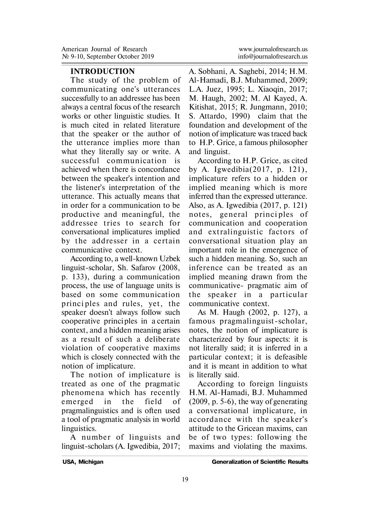## **INTRODUCTION**

The study of the problem of communicating one's utterances successfully to an addressee has been always a central focus of the research works or other linguistic studies. It is much cited in related literature that the speaker or the author of the utterance implies more than what they literally say or write. A successful communication is achieved when there is concordance between the speaker's intention and the listener's interpretation of the utterance. This actually means that in order for a communication to be productive and meaningful, the addressee tries to search for conversational implicatures implied by the addresser in a certain communicative context.

According to, a well-known Uzbek linguist-scholar, Sh. Safarov (2008, p. 133), during a communication process, the use of language units is based on some communication principles and rules, yet, the speaker doesn't always follow such cooperative princi ples in a certain context, and a hidden meaning arises as a result of such a deliberate violation of cooperative maxims which is closely connected with the notion of implicature.

The notion of implicature is treated as one of the pragmatic phenomena which has recently emerged in the field of pragmalinguistics and is often used a tool of pragmatic analysis in world linguistics.

A number of linguists and linguist-scholars (A. Igwedibia, 2017; A. Sobhani, A. Saghebi, 2014; H.M. Al-Hamadi, B.J. Muhammed, 2009; L.A. Juez, 1995; L. Xiaoqin, 2017; M. Haugh, 2002; M. Al Kayed, A. Kitishat, 2015; R. Jungmann, 2010; S. Attardo, 1990) claim that the foundation and development of the notion of implicature was traced back to H.P. Grice, a famous philosopher and linguist.

According to H.P. Grice, as cited by A. Igwedibia(2017, p. 121), implicature refers to a hidden or implied meaning which is more inferred than the expressed utterance. Also, as A. Igwedibia (2017, p. 121) notes, general principles of communication and cooperation and extralinguistic factors of conversational situation play an important role in the emergence of such a hidden meaning. So, such an inference can be treated as an implied meaning drawn from the communicative- pragmatic aim of the speaker in a particular communicative context.

As M. Haugh (2002, p. 127), a famous pragmalinguist-scholar, notes, the notion of implicature is characterized by four aspects: it is not literally said; it is inferred in a particular context; it is defeasible and it is meant in addition to what is literally said.

According to foreign linguists H.M. Al-Hamadi, B.J. Muhammed (2009, p. 5-6), the way of generating a conversational implicature, in accordance with the speaker's attitude to the Gricean maxims, can be of two types: following the maxims and violating the maxims.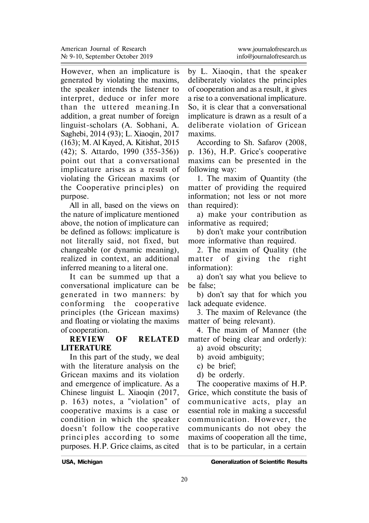However, when an implicature is generated by violating the maxims, the speaker intends the listener to interpret, deduce or infer more than the uttered meaning. In addition, a great number of foreign linguist-scholars (A. Sobhani, A. Saghebi, 2014 (93); L. Xiaoqin, 2017 (163); M. Al Kayed, A. Kitishat, 2015 (42); S. Attardo, 1990 (355-356)) point out that a conversational implicature arises as a result of violating the Gricean maxims (or the Cooperative princi ples) on purpose.

All in all, based on the views on the nature of implicature mentioned above, the notion of implicature can be defined as follows: implicature is not literally said, not fixed, but changeable (or dynamic meaning), realized in context, an additional inferred meaning to a literal one.

It can be summed up that a conversational implicature can be generated in two manners: by con forming the cooperative princi ples (the Gricean maxims) and floating or violating the maxims of cooperation.<br>REVIEW

# *OF RELATED* **LITERATURE**

In this part of the study, we deal with the literature analysis on the Gricean maxims and its violation and emergence of implicature. As a Chinese linguist L. Xiaoqin (2017, p. 163) notes, a "violation" of cooperative maxims is a case or condition in which the speaker doesn't follow the cooperative p rinci ples according to some purposes. H.P. Grice claims, as cited

by L. Xiaoqin, that the speaker deliberately violates the principles of cooperation and as a result, it gives a rise to a conversational implicature. So, it is clear that a conversational implicature is drawn as a result of a deliberate violation of Gricean maxims.

According to Sh. Safarov (2008, p. 136), H.P. Grice's cooperative maxims can be presented in the following way:

1. The maxim of Quantity (the matter of providing the required information; not less or not more than required):

à) make your contribution as informative as required;

b) don't make your contribution more informative than required.

2. The maxim of Quality (the matter of giving the right information):

à) don't say what you believe to be false;

b) don't say that for which you lack adequate evidence.

3. The maxim of Relevance (the matter of being relevant).

4. The maxim of Manner (the matter of being clear and orderly):

- à) avoid obscurity;
- b) avoid ambiguity;
- c) be brief;
- d) be orderly.

The cooperative maxims of H.P. Grice, which constitute the basis of communicative acts, play an essential role in making a successful communication. However, the communicants do not obey the maxims of cooperation all the time, that is to be particular, in a certain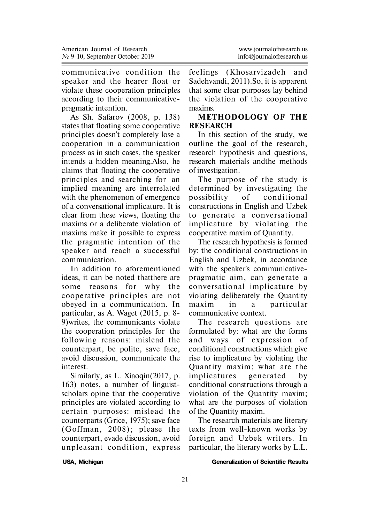communicative condition the speaker and the hearer float or violate these cooperation principles according to their communicativepragmatic intention.

As Sh. Safarov (2008, p. 138) states that floating some cooperative principles doesn't completely lose a cooperation in a communication process as in such cases, the speaker intends a hidden meaning.Also, he claims that floating the cooperative princi ples and searching for an implied meaning are interrelated with the phenomenon of emergence of a conversational implicature. It is clear from these views, floating the maxims or a deliberate violation of maxims make it possible to express the pragmatic intention of the speaker and reach a successful communication.

In addition to aforementioned ideas, it can be noted thatthere are some reasons for why the cooperative principles are not obeyed in a communication. In particular, as À. Waget (2015, p. 8- 9)writes, the communicants violate the cooperation principles for the following reasons: mislead the counterpart, be polite, save face, avoid discussion, communicate the interest.

Similarly, as L. Xiaoqin(2017, p. 163) notes, a number of linguistscholars opine that the cooperative principles are violated according to certain purposes: mislead the counterparts (Grice, 1975); save face  $(G$ offman, 2008); please the counterpart, evade discussion, avoid unpleasant condition, express

feelings (Khosarvizadeh and Sadehvandi, 2011).So, it is apparent that some clear purposes lay behind the violation of the cooperative maxims.

# **METHODOLOGY OF THE RESEARCH**

In this section of the study, we outline the goal of the research, research hypothesis and questions, research materials andthe methods of investigation.

The purpose of the study is determined by investigating the possibility of conditional constructions in English and Uzbek to generate a conversational implicature by violating the cooperative maxim of Quantity.

The research hypothesis is formed by: the conditional constructions in English and Uzbek, in accordance with the speaker's communicativepragmatic aim, can generate a conversational implicature by violating deliberately the Quantity maxim in a particular communicative context.

The research questions are formulated by: what are the forms and ways of expression of conditional constructions which give rise to implicature by violating the Quantity maxim; what are the implicatures generated by conditional constructions through a violation of the Quantity maxim; what are the purposes of violation of the Quantity maxim.

The research materials are literary texts from well-known works by foreign and Uzbek writers. In particular, the literary works by L.L.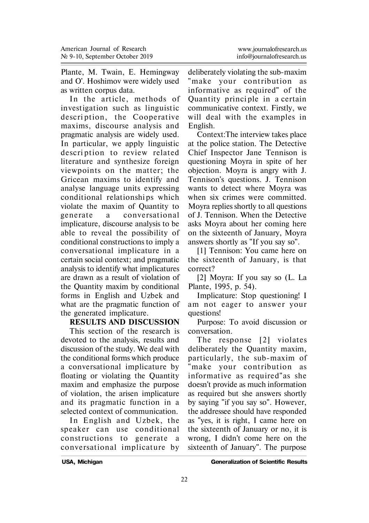Plante, M. Twain, E. Hemingway and O'. Hoshimov were widely used as written corpus data.

In the article, methods of investigation such as linguistic description, the Cooperative maxims, discourse analysis and pragmatic analysis are widely used. In particular, we apply linguistic description to review related literature and synthesize foreign viewpoints on the matter; the Gricean maxims to identify and analyse language units expressing conditional relationshi ps which violate the maxim of Quantity to generate a conversational implicature, discourse analysis to be able to reveal the possibility of conditional constructions to imply a conversational implicature in a certain social context; and pragmatic analysis to identify what implicatures are drawn as a result of violation of the Quantity maxim by conditional forms in English and Uzbek and what are the pragmatic function of the generated implicature.

#### **RESULTS AND DISCUSSION**

This section of the research is devoted to the analysis, results and discussion of the study. We deal with the conditional forms which produce a conversational implicature by floating or violating the Quantity maxim and emphasize the purpose of violation, the arisen implicature and its pragmatic function in a selected context of communication.

In English and Uzbek, the speaker can use conditional const ructions to generate a conversational implicature by deliberately violating the sub-maxim "make your contribution as informative as required" of the Quan tity princi ple in a certain communicative context. Firstly, we will deal with the examples in English.

Context:The interview takes place at the police station. The Detective Chief Inspector Jane Tennison is questioning Moyra in spite of her objection. Moyra is angry with J. Tennison's questions. J. Tennison wants to detect where Moyra was when six crimes were committed. Moyra replies shortly to all questions of J. Tennison. When the Detective asks Moyra about her coming here on the sixteenth of January, Moyra answers shortly as "If you say so".

[1] Tennison: You came here on the sixteenth of January, is that correct?

[2] Moyra: If you say so (L. La Plante, 1995, p. 54).

Implicature: Stop questioning! I am not eager to answer your questions!

Purpose: To avoid discussion or conversation.

The response [2] violates deliberately the Quantity maxim, particularly, the sub-maxim of "make your contribution as informative as required"as she doesn't provide as much information as required but she answers shortly by saying "if you say so". However, the addressee should have responded as "yes, it is right, I came here on the sixteenth of January or no, it is wrong, I didn't come here on the sixteenth of January". The purpose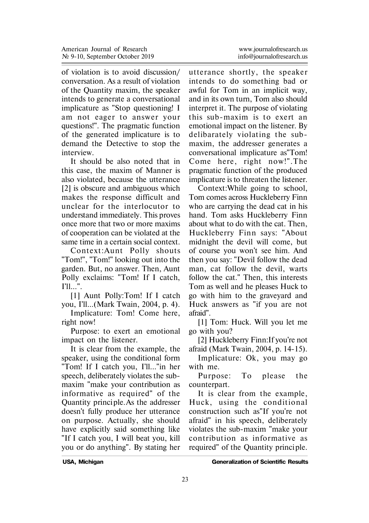of violation is to avoid discussion/ conversation. As a result of violation of the Quantity maxim, the speaker intends to generate a conversational implicature as "Stop questioning! I am not eager to answer your questions!". The pragmatic function of the generated implicature is to demand the Detective to stop the interview.

It should be also noted that in this case, the maxim of Manner is also violated, because the utterance [2] is obscure and ambiguous which makes the response difficult and unclear for the interlocutor to understand immediately. This proves once more that two or more maxims of cooperation can be violated at the same time in a certain social context.

Context: Aunt Polly shouts "Tom!", "Tom!" looking out into the garden. But, no answer. Then, Aunt Polly exclaims: "Tom! If I catch, I'll...".

[1] Aunt Polly:Tom! If I catch you, I'll...(Mark Twain, 2004, p. 4).

Implicature: Tom! Come here, right now!

Purpose: to exert an emotional impact on the listener.

It is clear from the example, the speaker, using the conditional form "Tom! If I catch you, I'll..."in her speech, deliberately violates the submaxim "make your contribution as informative as required" of the Quantity principle. As the addresser doesn't fully produce her utterance on purpose. Actually, she should have explicitly said something like "If I catch you, I will beat you, kill you or do anything". By stating her

utterance shortly, the speaker intends to do something bad or awful for Tom in an implicit way, and in its own turn, Tom also should interpret it. The purpose of violating this sub-maxim is to exert an emotional impact on the listener. By delibarately violating the submaxim, the addresser generates a conversational implicature as"Tom! Come here, right now!". The pragmatic function of the produced implicature is to threaten the listener.

Context:While going to school, Tom comes across Huckleberry Finn who are carrying the dead cat in his hand. Tom asks Huckleberry Finn about what to do with the cat. Then, Huckleberry Finn says: "About midnight the devil will come, but of course you won't see him. And then you say: "Devil follow the dead man, cat follow the devil, warts follow the cat." Then, this interests Tom as well and he pleases Huck to go with him to the graveyard and Huck answers as "if you are not afraid".

[1] Tom: Huck. Will you let me go with you?

[2] Huckleberry Finn:If you're not afraid (Mark Twain, 2004, p. 14-15).

Implicature: Ok, you may go with me.

Purpose: To please the counterpart.

It is clear from the example, Huck, using the conditional construction such as"If you're not afraid" in his speech, deliberately violates the sub-maxim "make your con tribution as in formative as required" of the Quantity principle.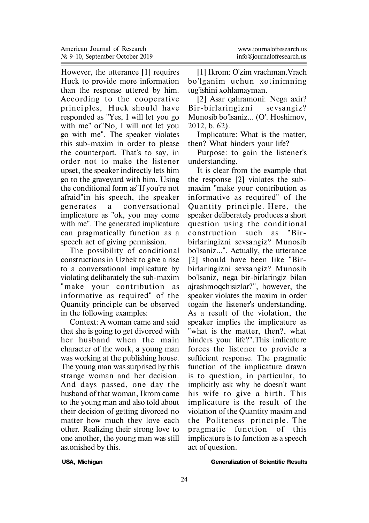However, the utterance [1] requires Huck to provide more information than the response uttered by him. According to the cooperative principles, Huck should have responded as "Yes, I will let you go with me" or"No, I will not let you go with me". The speaker violates this sub-maxim in order to please the counterpart. That's to say, in order not to make the listener upset, the speaker indirectly lets him go to the graveyard with him. Using the conditional form as"If you're not afraid"in his speech, the speaker generates a conversational implicature as "ok, you may come with me". The generated implicature can pragmatically function as a speech act of giving permission.

The possibility of conditional constructions in Uzbek to give a rise to a conversational implicature by violating delibarately the sub-maxim "make your contribution as informative as required" of the Quantity principle can be observed in the following examples:

Context: A woman came and said that she is going to get divorced with her husband when the main character of the work, a young man was working at the publishing house. The young man was surprised by this strange woman and her decision. And days passed, one day the husband of that woman, Ikrom came to the young man and also told about their decision of getting divorced no matter how much they love each other. Realizing their strong love to one another, the young man was still astonished by this.

[1] Ikrom: O'zim vrachman.Vrach bo'lganim uchun xo tinimning tug'ishini xohlamayman.

[2] Asar qahramoni: Nega axir? Bir-birlaringizni sevsangiz? Munosib bo'lsaniz... (O'. Hoshimov, 2012, b. 62).

Implicature: What is the matter, then? What hinders your life?

Purpose: to gain the listener's understanding.

It is clear from the example that the response [2] violates the submaxim "make your contribution as informative as required" of the Quantity principle. Here, the speaker deliberately produces a short question using the conditional const ruction such as "Birbirlaringizni sevsangiz? Munosib bo'lsaniz...". Actually, the utterance [2] should have been like "Birbirlaringizni sevsangiz? Munosib bo'lsaniz, nega bir-birlaringiz bilan ajrashmoqchisizlar?", however, the speaker violates the maxim in order togain the listener's understanding. As a result of the violation, the speaker implies the implicature as "what is the matter, then?, what hinders your life?".This imlicature forces the listener to provide a sufficient response. The pragmatic function of the implicature drawn is to question, in particular, to implicitly ask why he doesn't want his wife to give a birth. This implicature is the result of the violation of the Quantity maxim and the Politeness principle. The pragmatic function of this implicature is to function as a speech act of question.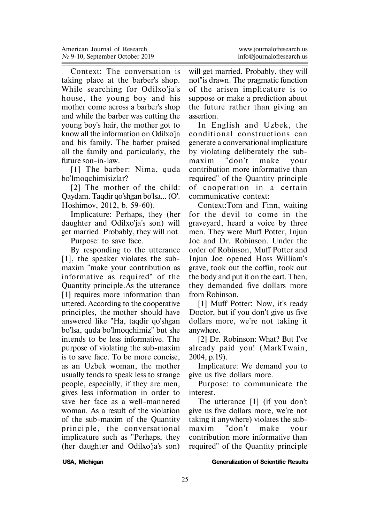Context: The conversation is taking place at the barber's shop. While searching for Odilxo'ja's house, the young boy and his mother come across a barber's shop and while the barber was cutting the young boy's hair, the mother got to know all the information on Odilxo'ja and his family. The barber praised all the family and particularly, the future son-in-law.

[1] The barber: Nima, quda bo'lmoqchimisizlar?

[2] The mother of the child: Qaydam. Taqdir qo'shgan bo'lsa... (O'. Hoshimov, 2012, b. 59-60).

Implicature: Perhaps, they (her daughter and Odilxo'ja's son) will get married. Probably, they will not.

Purpose: to save face.

By responding to the utterance [1], the speaker violates the submaxim "make your contribution as informative as required" of the Quantity principle. As the utterance [1] requires more information than uttered. According to the cooperative principles, the mother should have answered like "Ha, taqdir qo'shgan bo'lsa, quda bo'lmoqchimiz" but she intends to be less informative. The purpose of violating the sub-maxim is to save face. To be more concise, as an Uzbek woman, the mother usually tends to speak less to strange people, especially, if they are men, gives less information in order to save her face as a well-mannered woman. As a result of the violation of the sub-maxim of the Quantity principle, the conversational implicature such as "Perhaps, they (her daughter and Odilxo'ja's son)

will get married. Probably, they will not"is drawn. The pragmatic function of the arisen implicature is to suppose or make a prediction about the future rather than giving an assertion.

In English and Uzbek, the conditional constructions can generate a conversational implicature by violating deliberately the submaxim "don't make your contribution more informative than required" of the Quantity principle of cooperation in a certain communicative context:

Context:Tom and Finn, waiting for the devil to come in the graveyard, heard a voice by three men. They were Muff Potter, Injun Joe and Dr. Robinson. Under the order of Robinson, Muff Potter and Injun Joe opened Hoss William's grave, took out the coffin, took out the body and put it on the cart. Then, they demanded five dollars more from Robinson.

[1] Muff Potter: Now, it's ready Doctor, but if you don't give us five dollars more, we're not taking it anywhere.

[2] Dr. Robinson: What? But I've already paid you! (MarkTwain, 2004, p.19).

Implicature: We demand you to give us five dollars more.

Purpose: to communicate the interest.

The utterance [1] (if you don't give us five dollars more, we're not taking it anywhere) violates the submaxim "don't make your contribution more informative than required" of the Quantity principle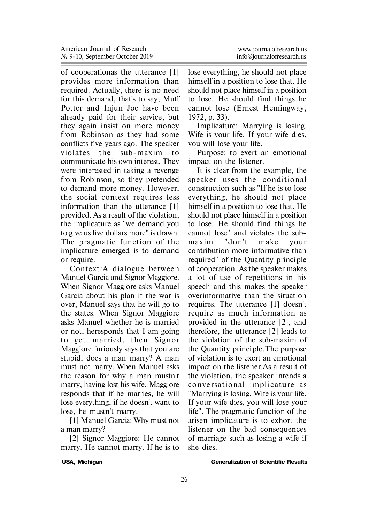of cooperationas the utterance [1] provides more information than required. Actually, there is no need for this demand, that's to say, Muff Potter and Injun Joe have been already paid for their service, but they again insist on more money from Robinson as they had some conflicts five years ago. The speaker violates the sub-maxim to communicate his own interest. They were interested in taking a revenge from Robinson, so they pretended to demand more money. However, the social context requires less information than the utterance [1] provided. As a result of the violation, the implicature as "we demand you to give us five dollars more" is drawn. The pragmatic function of the implicature emerged is to demand or require.

Con text:A dialogue between Manuel Garcia and Signor Maggiore. When Signor Maggiore asks Manuel Garcia about his plan if the war is over, Manuel says that he will go to the states. When Signor Maggiore asks Manuel whether he is married or not, heresponds that I am going to get married, then Signor Maggiore furiously says that you are stupid, does a man marry? A man must not marry. When Manuel asks the reason for why a man mustn't marry, having lost his wife, Maggiore responds that if he marries, he will lose everything, if he doesn't want to lose, he mustn't marry.

[1] Manuel Garcia: Why must not a man marry?

[2] Signor Maggiore: He cannot marry. He cannot marry. If he is to

lose everything, he should not place himself in a position to lose that. He should not place himself in a position to lose. He should find things he cannot lose (Ernest Hemingway, 1972, p. 33).

Implicature: Marrying is losing. Wife is your life. If your wife dies, you will lose your life.

Purpose: to exert an emotional impact on the listener.

It is clear from the example, the speaker uses the conditional construction such as "If he is to lose everything, he should not place himself in a position to lose that. He should not place himself in a position to lose. He should find things he cannot lose" and violates the submaxim "don't make your contribution more informative than required" of the Quantity principle of cooperation. As the speaker makes a lot of use of repetitions in his speech and this makes the speaker overinformative than the situation requires. The utterance [1] doesn't require as much information as provided in the utterance [2], and therefore, the utterance [2] leads to the violation of the sub-maxim of the Quantity principle. The purpose of violation is to exert an emotional impact on the listener.As a result of the violation, the speaker intends a co nve rsa tional implica tu re as "Marrying is losing. Wife is your life. If your wife dies, you will lose your life". The pragmatic function of the arisen implicature is to exhort the listener on the bad consequences of marriage such as losing a wife if she dies.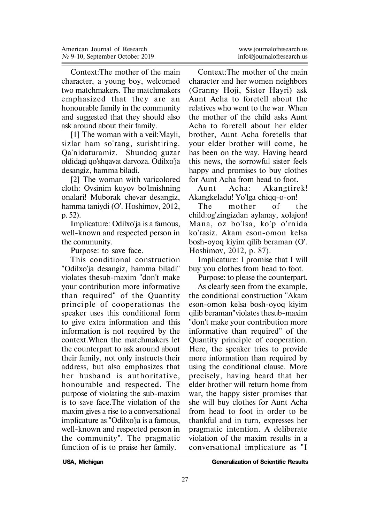Context:The mother of the main character, a young boy, welcomed two matchmakers. The matchmakers emphasized that they are an honourable family in the community and suggested that they should also ask around about their family.

[1] The woman with a veil:Mayli, sizlar ham so'rang, surishtiring. Qa'nidaturamiz. Shundoq guzar oldidagi qo'shqavat darvoza. Odilxo'ja desangiz, hamma biladi.

[2] The woman with varicolored cloth: Ovsinim kuyov bo'lmishning onalari! Muborak chevar desangiz, hamma taniydi (O'. Hoshimov, 2012, p. 52).

Implicature: Odilxo'ja is a famous, well-known and respected person in the community.

Purpose: to save face.

This conditional construction "Odilxo'ja desangiz, hamma biladi" violates thesub-maxim "don't make your contribution more informative than required" of the Quantity principle of cooperationas the speaker uses this conditional form to give extra information and this information is not required by the context.When the matchmakers let the counterpart to ask around about their family, not only instructs their address, but also emphasizes that her husband is authoritative. honourable and respected. The purpose of violating the sub-maxim is to save face.The violation of the maxim gives a rise to a conversational implicature as "Odilxo'ja is a famous, well-known and respected person in the community". The pragmatic function of is to praise her family.

Context:The mother of the main character and her women neighbors (Granny Hoji, Sister Hayri) ask Aunt Acha to foretell about the relatives who went to the war. When the mother of the child asks Aunt Acha to foretell about her elder brother, Aunt Acha foretells that your elder brother will come, he has been on the way. Having heard this news, the sorrowful sister feels happy and promises to buy clothes for Aunt Acha from head to foot.

Aunt Acha: Akangtirek! Àkangkeladu! Yo'lga chiqq-o-on!

The mother of the child:og'zingizdan aylanay, xolajon! Mana, oz bo'lsa, ko'p o'rnida ko'rasiz. Akam eson-omon kelsa bosh-oyoq kiyim qilib beraman (O'. Hoshimov, 2012, p. 87).

Implicature: I promise that I will buy you clothes from head to foot.

Purpose: to please the counterpart.

As clearly seen from the example, the conditional construction "Akam eson-omon kelsa bosh-oyoq kiyim qilib beraman"violates thesub-maxim "don't make your contribution more informative than required" of the Quantity principle of cooperation. Here, the speaker tries to provide more information than required by using the conditional clause. More precisely, having heard that her elder brother will return home from war, the happy sister promises that she will buy clothes for Aunt Acha from head to foot in order to be thankful and in turn, expresses her pragmatic intention. A deliberate violation of the maxim results in a conversational implicature as "I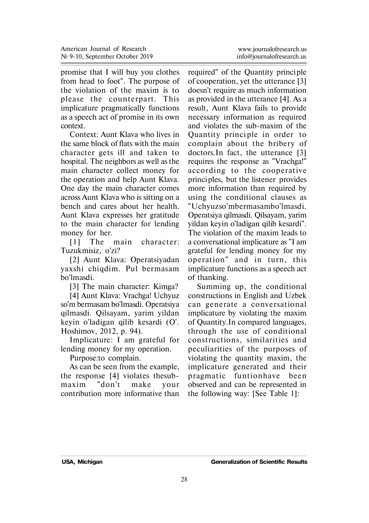promise that I will buy you clothes from head to foot". The purpose of the violation of the maxim is to please the counterpart. This implicature pragmatically functions as a speech act of promise in its own context.

Context: Aunt Klava who lives in the same block of flats with the main character gets ill and taken to hospital. The neighbors as well as the main character collect money for the operation and help Aunt Klava. One day the main character comes across Aunt Klava who is sitting on a bench and cares about her health. Aunt Klava expresses her gratitude to the main character for lending money for her.

[1] The main character: Tuzukmisiz, o'zi?

[2] Aunt Klava: Operatsiyadan yaxshi chiqdim. Pul bermasam bo'lmasdi.

[3] The main character: Kimga?

[4] Aunt Klava: Vrachga! Uchyuz so'm bermasam bo'lmasdi. Operatsiya qilmasdi. Qilsayam, yarim yildan keyin o'ladigan qilib kesardi (O'. Hoshimov, 2012, p. 94).

Implicature: I am grateful for lending money for my operation.

Purpose:to complain.

As can be seen from the example, the response [4] violates thesubmaxim "don't make your contribution more informative than

required" of the Quantity principle of cooperation, yet the utterance [3] doesn't require as much information as provided in the utterance [4]. As a result, Aunt Klava fails to provide necessary information as required and violates the sub-maxim of the Quantity princi ple in order to complain about the bribery of doctors.In fact, the utterance [3] requires the response as "Vrachga!" according to the cooperative principles, but the listener provides more information than required by using the conditional clauses as "Uchyuzso'mbermasambo'lmasdi. Operatsiya qilmasdi. Qilsayam, yarim yildan keyin o'ladigan qilib kesardi". The violation of the maxim leads to a conversational implicature as "I am grateful for lending money for my operation" and in turn, this implicature functions as a speech act of thanking.

Summing up, the conditional constructions in English and Uzbek can generate a conversational implicature by violating the maxim of Quantity.In compared languages, through the use of conditional const ructions, similarities and peculiarities of the purposes of violating the quantity maxim, the implicature generated and their p ragmatic fun tionhave been observed and can be represented in the following way: [See Table 1]: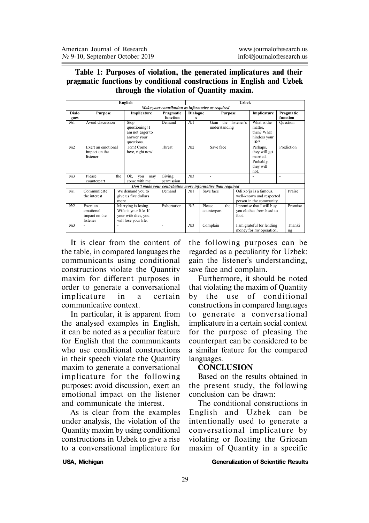**Table 1: Purposes of violation, the generated implicatures and their pragmatic functions by conditional constructions in English and Uzbek through the violation of Quantity maxim.**

| English                                           |                                                    |                                                                                             |                                                                        |                       |                      | <b>Uzhek</b> |                                         |      |                                                                                |                   |                       |  |
|---------------------------------------------------|----------------------------------------------------|---------------------------------------------------------------------------------------------|------------------------------------------------------------------------|-----------------------|----------------------|--------------|-----------------------------------------|------|--------------------------------------------------------------------------------|-------------------|-----------------------|--|
| Make your contribution as informative as required |                                                    |                                                                                             |                                                                        |                       |                      |              |                                         |      |                                                                                |                   |                       |  |
| Dialo<br>gues                                     | Purpose                                            |                                                                                             | Implicature                                                            | Pragmatic<br>function | <b>Dialogue</b><br>s |              | <b>Purpose</b>                          |      | Implicature                                                                    |                   | Pragmatic<br>function |  |
| N <sub>2</sub> 1                                  | Avoid discussion                                   |                                                                                             | Stop<br>questioning! I<br>am not eager to<br>answer your<br>questions. | Demand                | N <sub>0</sub> 1     |              | Gain<br>the listener's<br>understanding |      | What is the<br>matter.<br>then? What<br>hinders your<br>life?                  | Ouestion          |                       |  |
| N <sub>2</sub>                                    | Exert an emotional<br>impact on the<br>listener    |                                                                                             | Tom! Come<br>here, right now!                                          | Threat                | No2                  |              | Save face                               |      | Perhaps,<br>they will get<br>married<br>Probably,<br>they will<br>not          | <b>Prediction</b> |                       |  |
| No3                                               | Please<br>counterpart                              | the                                                                                         | Ok<br>vou<br>may<br>come with me.                                      | Giving<br>permission  | No3                  |              | ٠                                       |      |                                                                                | ٠                 |                       |  |
|                                                   |                                                    |                                                                                             | Don't make your contribution more informative than required            |                       |                      |              |                                         |      |                                                                                |                   |                       |  |
| N <sub>2</sub> 1                                  | Communicate<br>the interest                        | We demand you to<br>give us five dollars<br>more                                            |                                                                        | Demand                | N <sub>0</sub> 1     |              | Save face                               |      | Odilxo'ja is a famous,<br>well-known and respected<br>person in the community. |                   | Praise                |  |
| No2                                               | Exert an<br>emotional<br>impact on the<br>listener | Marrying is losing.<br>Wife is your life. If<br>your wife dies, you<br>will lose your life. |                                                                        | Exhortation           | No?                  |              | Please<br>the<br>counterpart            | foot | I promise that I will buy<br>you clothes from head to                          |                   | Promise               |  |
| $No$ 3                                            | ٠                                                  | ٠                                                                                           |                                                                        | ٠                     | No3                  |              | Complain                                |      | I am grateful for lending<br>money for my operation.                           |                   | Thanki<br>ng          |  |

It is clear from the content of the table, in compared languages the communicants using conditional constructions violate the Quantity maxim for different purposes in order to generate a conversational implicature in a certain communicative context.

In particular, it is apparent from the analysed examples in English, it can be noted as a peculiar feature for English that the communicants who use conditional constructions in their speech violate the Quantity maxim to generate a conversational implicature for the following purposes: avoid discussion, exert an emotional impact on the listener and communicate the interest.

As is clear from the examples under analysis, the violation of the Quantity maxim by using conditional constructions in Uzbek to give a rise to a conversational implicature for

the following purposes can be regarded as a peculiarity for Uzbek: gain the listener's understanding, save face and complain.

Furthermore, it should be noted that violating the maxim of Quantity by the use of conditional constructions in compared languages to generate a conversational implicature in a certain social context for the purpose of pleasing the counterpart can be considered to be a similar feature for the compared languages.

#### **CONCLUSION**

Based on the results obtained in the present study, the following conclusion can be drawn:

The conditional constructions in English and Uzbek can be intentionally used to generate a conversational implicature by violating or floating the Gricean maxim of Quantity in a specific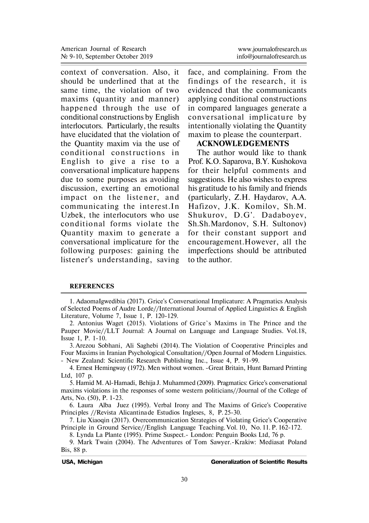context of conversation. Also, it should be underlined that at the same time, the violation of two maxims (quantity and manner) happened through the use of conditional constructions by English interlocutors. Particularly, the results have elucidated that the violation of the Quantity maxim via the use of conditional constructions in English to give a rise to a conversational implicature happens due to some purposes as avoiding discussion, exerting an emotional impact on the listener, and communicating the interest.In Uzbek, the interlocutors who use con ditio nal forms violate the Quantity maxim to generate a conversational implicature for the following purposes: gaining the listener's understanding, saving face, and complaining. From the findings of the research, it is evidenced that the communicants applying conditional constructions in compared languages generate a conversational implicature by intentionally violating the Quantity maxim to please the counterpart.

## **ACKNOWLEDGEMENTS**

The author would like to thank Prof. K.O. Saparova, B.Y. Kushokova for their helpful comments and suggestions. He also wishes to express his gratitude to his family and friends (particularly, Z.H. Haydarov, A.A. Hafizov, J.K. Komilov, Sh.M. Shukurov, D.G'. Dadaboyev, Sh.Sh.Mardonov, S.H. Sultonov) for their constant support and encouragement.However, all the imperfections should be attributed to the author.

#### **REFERENCES**

1. AdaomaIgwedibia (2017). Grice's Conversational Implicature: A Pragmatics Analysis of Selected Poems of Audre Lorde//International Journal of Applied Linguistics & English Literature, Volume 7, Issue 1, P. 120-129.

2. Antonius Waget (2015). Violations of Grice`s Maxims in The Prince and the Pauper Movie//LLT Journal: A Journal on Language and Language Studies. Vol.18, Issue 1, P. 1-10.

3. Arezou Sobhani, Ali Saghebi (2014). The Violation of Cooperative Princi ples and Four Maxims in Iranian Psychological Consultation//Open Journal of Modern Linguistics. - New Zealand: Scientific Research Publishing Inc., Issue 4, P. 91-99.

4. Ernest Hemingway (1972). Men without women. -Great Britain, Hunt Barnard Printing Ltd, 107 p.

5. Hamid M. Al-Hamadi, Behija J. Muhammed (2009). Pragmatics: Grice's conversational maxims violations in the responses of some western politicians//Journal of the College of Arts, No. (50), P. 1-23.

6. Laura Alba Juez (1995). Verbal Irony and The Maxims of Grice's Cooperative Princi ples //Revista Alicantina de Estudios Ingleses, 8, P. 25-30.

7. Liu Xiaoqin (2017). Overcommunication Strategies of Violating Grice's Cooperative Princi ple in Ground Service//English Language Teaching. Vol. 10, No. 11. P. 162-172.

8. Lynda La Plante (1995). Prime Suspect.- London: Penguin Books Ltd, 76 p.

9. Mark Twain (2004). The Adventures of Tom Sawyer.-Krakiw: Mediasat Poland Bis, 88 p.